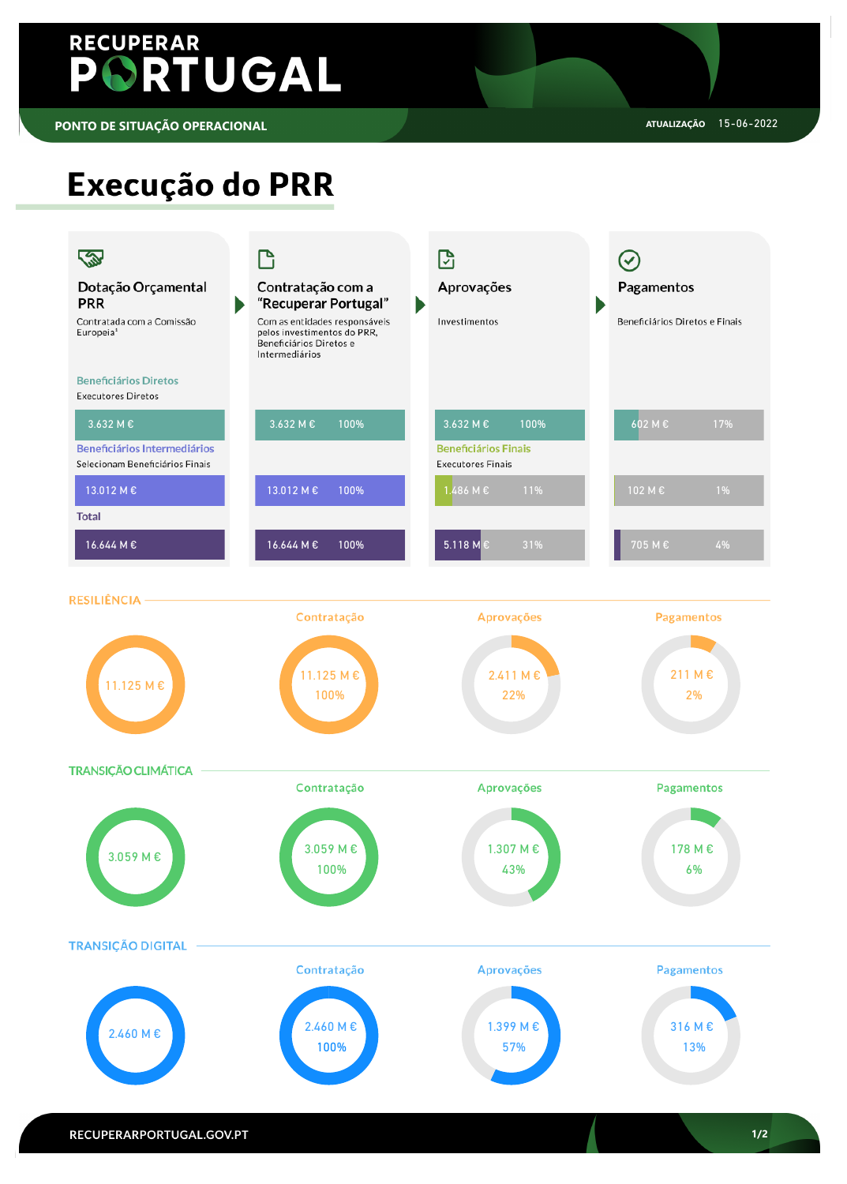

# RECUPERAR PORTUGAL

# Execução do PRR